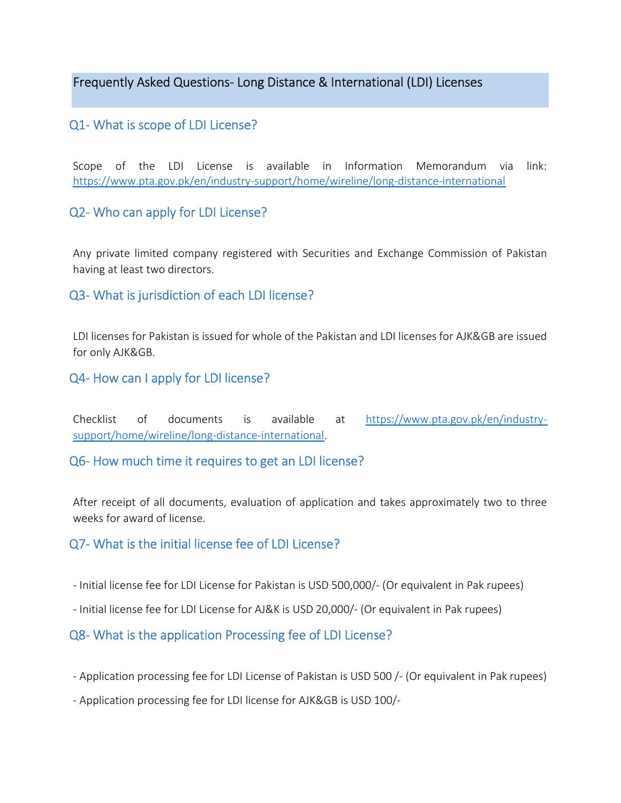Frequently Asked Questions- Long Distance & International (LDI) Licenses

# Q1- What is scope of LDI License?

Scope of the LDI License is available in Information Memorandum via link: https://www.pta.gov.pk/en/industry-support/home/wireline/long-distance-international

## Q2- Who can apply for LDI License?

Any private limited company registered with Securities and Exchange Commission of Pakistan having at least two directors.

## Q3- What is jurisdiction of each LDI license?

LDI licenses for Pakistan is issued for whole of the Pakistan and LDI licenses for AJK&GB are issued for only AJK&GB.

## Q4- How can I apply for LDI license?

Checklist of documents is available at https://www.pta.gov.pk/en/industrysupport/home/wireline/long-distance-international.

## Q6- How much time it requires to get an LDI license?

After receipt of all documents, evaluation of application and takes approximately two to three weeks for award of license.

## Q7- What is the initial license fee of LDI License?

- Initial license fee for LDI License for Pakistan is USD 500,000/- (Or equivalent in Pak rupees)
- Initial license fee for LDI License for AJ&K is USD 20,000/- (Or equivalent in Pak rupees)

## Q8- What is the application Processing fee of LDI License?

- Application processing fee for LDI License of Pakistan is USD 500 /- (Or equivalent in Pak rupees)
- Application processing fee for LDI license for AJK&GB is USD 100/-